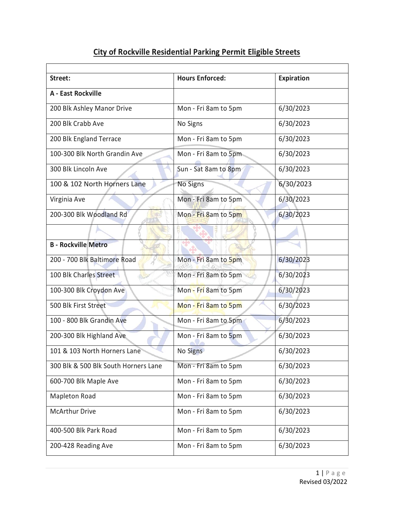| Street:                              | <b>Hours Enforced:</b> | <b>Expiration</b> |
|--------------------------------------|------------------------|-------------------|
| A - East Rockville                   |                        |                   |
| 200 Blk Ashley Manor Drive           | Mon - Fri 8am to 5pm   | 6/30/2023         |
| 200 Blk Crabb Ave                    | No Signs               | 6/30/2023         |
| 200 Blk England Terrace              | Mon - Fri 8am to 5pm   | 6/30/2023         |
| 100-300 Blk North Grandin Ave        | Mon - Fri 8am to 5pm   | 6/30/2023         |
| 300 Blk Lincoln Ave                  | Sun - Sat 8am to 8pm   | 6/30/2023         |
| 100 & 102 North Horners Lane         | No Signs               | 6/30/2023         |
| Virginia Ave                         | Mon - Fri 8am to 5pm   | 6/30/2023         |
| 200-300 Blk Woodland Rd              | Mon - Fri 8am to 5pm   | 6/30/2023         |
|                                      |                        |                   |
| <b>B - Rockville Metro</b>           |                        |                   |
| 200 - 700 Blk Baltimore Road         | Mon - Fri 8am to 5pm   | 6/30/2023         |
| 100 Blk Charles Street               | Mon - Fri 8am to 5pm   | 6/30/2023         |
| 100-300 Blk Croydon Ave              | Mon - Fri 8am to 5pm   | 6/30/2023         |
| 500 Blk First Street                 | Mon - Fri 8am to 5pm   | 6/30/2023         |
| 100 - 800 Blk Grandin Ave            | Mon - Fri 8am to 5pm   | 6/30/2023         |
| 200-300 Blk Highland Ave             | Mon - Fri 8am to 5pm   | 6/30/2023         |
| 101 & 103 North Horners Lane         | No Signs               | 6/30/2023         |
| 300 Blk & 500 Blk South Horners Lane | Mon - Fri 8am to 5pm   | 6/30/2023         |
| 600-700 Blk Maple Ave                | Mon - Fri 8am to 5pm   | 6/30/2023         |
| <b>Mapleton Road</b>                 | Mon - Fri 8am to 5pm   | 6/30/2023         |
| <b>McArthur Drive</b>                | Mon - Fri 8am to 5pm   | 6/30/2023         |
| 400-500 Blk Park Road                | Mon - Fri 8am to 5pm   | 6/30/2023         |
| 200-428 Reading Ave                  | Mon - Fri 8am to 5pm   | 6/30/2023         |

## **City of Rockville Residential Parking Permit Eligible Streets**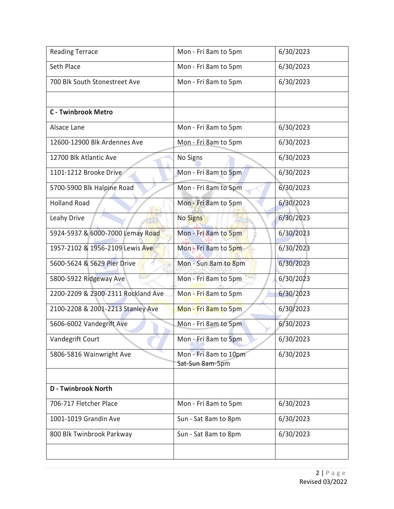| <b>Reading Terrace</b>             | Mon - Fri 8am to 5pm                     | 6/30/2023 |
|------------------------------------|------------------------------------------|-----------|
| Seth Place                         | Mon - Fri 8am to 5pm                     | 6/30/2023 |
| 700 Blk South Stonestreet Ave      | Mon - Fri 8am to 5pm                     | 6/30/2023 |
|                                    |                                          |           |
| <b>C</b> - Twinbrook Metro         |                                          |           |
| Alsace Lane                        | Mon - Fri 8am to 5pm                     | 6/30/2023 |
| 12600-12900 Blk Ardennes Ave       | Mon - Fri 8am to 5pm                     | 6/30/2023 |
| 12700 Blk Atlantic Ave             | No Signs                                 | 6/30/2023 |
| 1101-1212 Brooke Drive             | Mon - Fri 8am to 5pm                     | 6/30/2023 |
| 5700-5900 Blk Halpine Road         | Mon - Fri 8am to 5pm                     | 6/30/2023 |
| <b>Holland Road</b>                | Mon - Fri 8am to 5pm                     | 6/30/2023 |
| Leahy Drive                        | No Signs                                 | 6/30/2023 |
| 5924-5937 & 6000-7000 Lemay Road   | Mon - Fri 8am to 5pm                     | 6/30/2023 |
| 1957-2102 & 1956-2109 Lewis Ave    | Mon - Fri 8am to 5pm                     | 6/30/2023 |
| 5600-5624 & 5629 Pier Drive        | Mon - Sun 8am to 8pm                     | 6/30/2023 |
| 5800-5922 Ridgeway Ave             | Mon - Fri 8am to 5pm                     | 6/30/2023 |
| 2200-2209 & 2300-2311 Rockland Ave | Mon - Fri 8am to 5pm                     | 6/30/2023 |
| 2100-2208 & 2001-2213 Stanley Ave  | Mon - Fri 8am to 5pm                     | 6/30/2023 |
| 5606-6002 Vandegrift Ave           | Mon - Fri 8am to 5pm                     | 6/30/2023 |
| Vandegrift Court                   | Mon - Fri 8am to 5pm                     | 6/30/2023 |
| 5806-5816 Wainwright Ave           | Mon - Fri 8am to 10pm<br>Sat-Sun 8am-5pm | 6/30/2023 |
|                                    |                                          |           |
| <b>D</b> - Twinbrook North         |                                          |           |
| 706-717 Fletcher Place             | Mon - Fri 8am to 5pm                     | 6/30/2023 |
| 1001-1019 Grandin Ave              | Sun - Sat 8am to 8pm                     | 6/30/2023 |
| 800 Blk Twinbrook Parkway          | Sun - Sat 8am to 8pm                     | 6/30/2023 |
|                                    |                                          |           |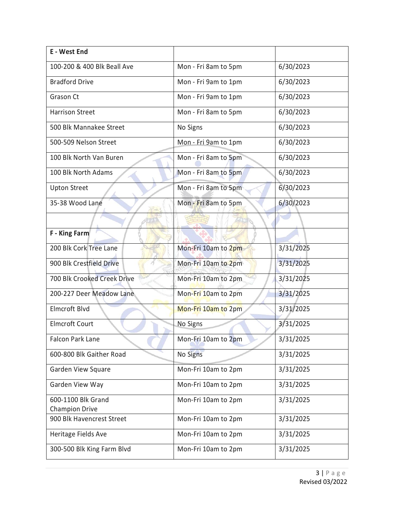| E - West End                                |                      |           |
|---------------------------------------------|----------------------|-----------|
| 100-200 & 400 Blk Beall Ave                 | Mon - Fri 8am to 5pm | 6/30/2023 |
| <b>Bradford Drive</b>                       | Mon - Fri 9am to 1pm | 6/30/2023 |
| Grason Ct                                   | Mon - Fri 9am to 1pm | 6/30/2023 |
| <b>Harrison Street</b>                      | Mon - Fri 8am to 5pm | 6/30/2023 |
| 500 Blk Mannakee Street                     | No Signs             | 6/30/2023 |
| 500-509 Nelson Street                       | Mon - Fri 9am to 1pm | 6/30/2023 |
| 100 Blk North Van Buren                     | Mon - Fri 8am to 5pm | 6/30/2023 |
| 100 Blk North Adams                         | Mon - Fri 8am to 5pm | 6/30/2023 |
| <b>Upton Street</b>                         | Mon - Fri 8am to 5pm | 6/30/2023 |
| 35-38 Wood Lane                             | Mon - Fri 8am to 5pm | 6/30/2023 |
|                                             |                      |           |
| <b>F</b> - King Farm                        |                      |           |
| 200 Blk Cork Tree Lane                      | Mon-Fri 10am to 2pm  | 3/31/2025 |
| 900 Blk Crestfield Drive                    | Mon-Fri 10am to 2pm  | 3/31/2025 |
| 700 Blk Crooked Creek Drive                 | Mon-Fri 10am to 2pm  | 3/31/2025 |
| 200-227 Deer Meadow Lane                    | Mon-Fri 10am to 2pm  | 3/31/2025 |
| Elmcroft Blvd                               | Mon-Fri 10am to 2pm  | 3/31/2025 |
| <b>Elmcroft Court</b>                       | No Signs             | 3/31/2025 |
| <b>Falcon Park Lane</b>                     | Mon-Fri 10am to 2pm  | 3/31/2025 |
| 600-800 Blk Gaither Road                    | <b>No Signs</b>      | 3/31/2025 |
| Garden View Square                          | Mon-Fri 10am to 2pm  | 3/31/2025 |
| Garden View Way                             | Mon-Fri 10am to 2pm  | 3/31/2025 |
| 600-1100 Blk Grand<br><b>Champion Drive</b> | Mon-Fri 10am to 2pm  | 3/31/2025 |
| 900 Blk Havencrest Street                   | Mon-Fri 10am to 2pm  | 3/31/2025 |
| Heritage Fields Ave                         | Mon-Fri 10am to 2pm  | 3/31/2025 |
| 300-500 Blk King Farm Blvd                  | Mon-Fri 10am to 2pm  | 3/31/2025 |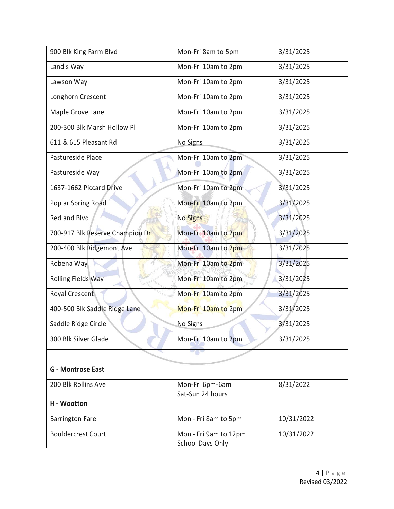| 900 Blk King Farm Blvd          | Mon-Fri 8am to 5pm                               | 3/31/2025  |
|---------------------------------|--------------------------------------------------|------------|
| Landis Way                      | Mon-Fri 10am to 2pm                              | 3/31/2025  |
| Lawson Way                      | Mon-Fri 10am to 2pm                              | 3/31/2025  |
| Longhorn Crescent               | Mon-Fri 10am to 2pm                              | 3/31/2025  |
| Maple Grove Lane                | Mon-Fri 10am to 2pm                              | 3/31/2025  |
| 200-300 Blk Marsh Hollow Pl     | Mon-Fri 10am to 2pm                              | 3/31/2025  |
| 611 & 615 Pleasant Rd           | No Signs                                         | 3/31/2025  |
| Pastureside Place               | Mon-Fri 10am to 2pm                              | 3/31/2025  |
| Pastureside Way                 | Mon-Fri 10am to 2pm                              | 3/31/2025  |
| 1637-1662 Piccard Drive         | Mon-Fri 10am to 2pm                              | 3/31/2025  |
| Poplar Spring Road              | Mon-Fri 10am to 2pm                              | 3/31/2025  |
| <b>Redland Blvd</b>             | <b>No Signs</b>                                  | 3/31/2025  |
| 700-917 Blk Reserve Champion Dr | Mon-Fri 10am to 2pm                              | 3/31/2025  |
| 200-400 Blk Ridgemont Ave       | Mon-Fri 10am to 2pm                              | 3/31/2025  |
| Robena Way                      | Mon-Fri 10am to 2pm                              | 3/31/2025  |
| <b>Rolling Fields Way</b>       | Mon-Fri 10am to 2pm                              | 3/31/2025  |
| Royal Crescent                  | Mon-Fri 10am to 2pm                              | 3/31/2025  |
| 400-500 Blk Saddle Ridge Lane   | Mon-Fri 10am to 2pm                              | 3/31/2025  |
| Saddle Ridge Circle             | No Signs                                         | 3/31/2025  |
| 300 Blk Silver Glade            | Mon-Fri 10am to 2pm                              | 3/31/2025  |
|                                 |                                                  |            |
| <b>G</b> - Montrose East        |                                                  |            |
| 200 Blk Rollins Ave             | Mon-Fri 6pm-6am<br>Sat-Sun 24 hours              | 8/31/2022  |
| H - Wootton                     |                                                  |            |
| <b>Barrington Fare</b>          | Mon - Fri 8am to 5pm                             | 10/31/2022 |
| <b>Bouldercrest Court</b>       | Mon - Fri 9am to 12pm<br><b>School Days Only</b> | 10/31/2022 |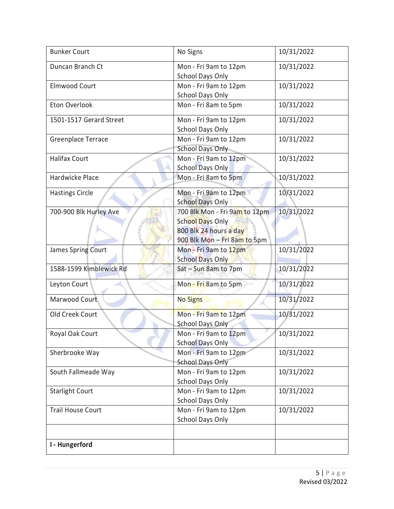| <b>Bunker Court</b>      | No Signs                                  | 10/31/2022 |
|--------------------------|-------------------------------------------|------------|
| Duncan Branch Ct         | Mon - Fri 9am to 12pm<br>School Days Only | 10/31/2022 |
| <b>Elmwood Court</b>     | Mon - Fri 9am to 12pm                     | 10/31/2022 |
|                          | <b>School Days Only</b>                   |            |
| Eton Overlook            | Mon - Fri 8am to 5pm                      | 10/31/2022 |
| 1501-1517 Gerard Street  | Mon - Fri 9am to 12pm                     | 10/31/2022 |
|                          | <b>School Days Only</b>                   |            |
| Greenplace Terrace       | Mon - Fri 9am to 12pm                     | 10/31/2022 |
|                          | <b>School Days Only</b>                   |            |
| <b>Halifax Court</b>     | Mon - Fri 9am to 12pm                     | 10/31/2022 |
|                          | <b>School Days Only</b>                   |            |
| Hardwicke Place          | Mon - Fri 8am to 5pm                      | 10/31/2022 |
| <b>Hastings Circle</b>   | Mon - Fri 9am to 12pm                     | 10/31/2022 |
|                          | <b>School Days Only</b>                   |            |
| 700-900 Blk Hurley Ave   | 700 Blk Mon - Fri 9am to 12pm             | 10/31/2022 |
|                          | <b>School Days Only</b>                   |            |
|                          | 800 Blk 24 hours a day                    |            |
|                          | 900 Blk Mon - Fri 8am to 5pm              |            |
| James Spring Court       | Mon - Fri 9am to 12pm                     | 10/31/2022 |
|                          | <b>School Days Only</b>                   |            |
| 1588-1599 Kimblewick Rd  | Sat - Sun 8am to 7pm                      | 10/31/2022 |
| Leyton Court             | Mon - Fri 8am to 5pm                      | 10/31/2022 |
| Marwood Court            | <b>No Signs</b>                           | 10/31/2022 |
| Old Creek Court          | Mon - Fri 9am to 12pm                     | 10/31/2022 |
|                          | <b>School Days Only</b>                   |            |
| Royal Oak Court          | Mon - Fri 9am to 12pm                     | 10/31/2022 |
|                          | <b>School Days Only</b>                   |            |
| Sherbrooke Way           | Mon - Fri 9am to 12pm                     | 10/31/2022 |
|                          | <b>School Days Only</b>                   |            |
| South Fallmeade Way      | Mon - Fri 9am to 12pm                     | 10/31/2022 |
|                          | <b>School Days Only</b>                   |            |
| <b>Starlight Court</b>   | Mon - Fri 9am to 12pm                     | 10/31/2022 |
|                          | <b>School Days Only</b>                   |            |
| <b>Trail House Court</b> | Mon - Fri 9am to 12pm                     | 10/31/2022 |
|                          | School Days Only                          |            |
|                          |                                           |            |
| I - Hungerford           |                                           |            |